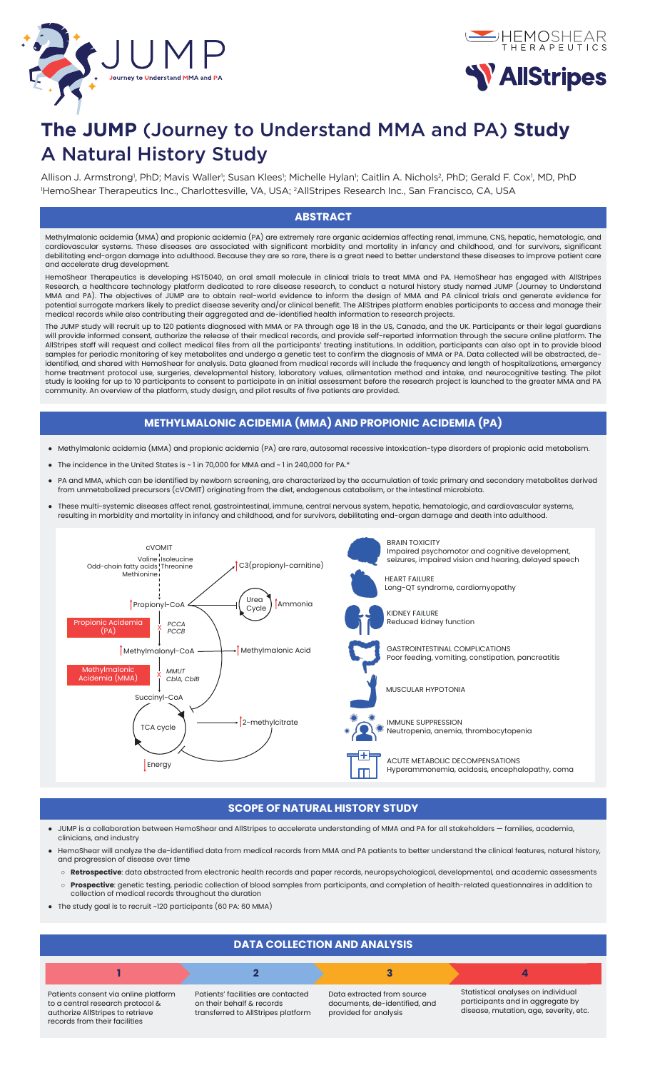



## **The JUMP** (Journey to Understand MMA and PA) Study  $\mathcal{A}$ ,  $\mathcal{A}$  armstrong  $\mathcal{A}$  ,  $\mathcal{A}$  ,  $\mathcal{A}$  ,  $\mathcal{A}$  ,  $\mathcal{A}$  ,  $\mathcal{A}$  ,  $\mathcal{A}$  ,  $\mathcal{A}$  ,  $\mathcal{A}$  ,  $\mathcal{A}$  ,  $\mathcal{A}$  ,  $\mathcal{A}$  ,  $\mathcal{A}$  ,  $\mathcal{A}$  ,  $\mathcal{A}$  ,  $\mathcal{A}$  ,  $\mathcal{A}$  ,  $\mathcal{$ ; Michelle Hylan1 A Natural History Study

1 HemoShear Therapeutics Inc., Charlottesville, VA, USA; 2AllStripes Research Inc., San Francisco, CA, USA 1 HemoShear Therapeutics Inc., Charlottesville, VA, USA; 2AllStripes Research Inc., San Francisco, CA, USAAllison J. Armstrong', PhD; Mavis Waller'; Susan Klees'; Michelle Hylan'; Caitlin A. Nichols?, PhD; Gerald F. Cox', MD, PhD

## **ABSTRACT**

Methylmalonic acidemia (MMA) and propionic acidemia (PA) are extremely rare organic acidemias affecting renal, immune, CNS, hepatic, hematologic, and cardiovascular systems. These diseases are associated with significant morbidity and mortality in infancy and childhood, and for survivors, significant debilitating end-organ damage into adulthood. Because they are so rare, there is a great need to better understand these diseases to improve patient care and accelerate drug development.

HemoShear Therapeutics is developing HST5040, an oral small molecule in clinical trials to treat MMA and PA. HemoShear has engaged with AllStripes Research, a healthcare technology platform dedicated to rare disease research, to conduct a natural history study named JUMP (Journey to Understand MMA and PA). The objectives of JUMP are to obtain real-world evidence to inform the design of MMA and PA clinical trials and generate evidence for potential surrogate markers likely to predict disease severity and/or clinical benefit. The AllStripes platform enables participants to access and manage their medical records while also contributing their aggregated and de-identified health information to research projects.

The JUMP study will recruit up to 120 patients diagnosed with MMA or PA through age 18 in the US, Canada, and the UK. Participants or their legal guardians will provide informed consent, authorize the release of their medical records, and provide self-reported information through the secure online platform. The AllStripes staff will request and collect medical files from all the participants' treating institutions. In addition, participants can also opt in to provide blood samples for periodic monitoring of key metabolites and undergo a genetic test to confirm the diagnosis of MMA or PA. Data collected will be abstracted, deidentified, and shared with HemoShear for analysis. Data gleaned from medical records will include the frequency and length of hospitalizations, emergency home treatment protocol use, surgeries, developmental history, laboratory values, alimentation method and intake, and neurocognitive testing. The pilot study is looking for up to 10 participants to consent to participate in an initial assessment before the research project is launched to the greater MMA and PA community. An overview of the platform, study design, and pilot results of five patients are provided.

## METHYLMALONIC ACIDEMIA (MMA) AND PROPIONIC ACIDEMIA (PA)

- Methylmalonic acidemia (MMA) and propionic acidemia (PA) are rare, autosomal recessive intoxication-type disorders of propionic acid metabolism.
- The incidence in the United States is  $\sim$  1 in 70,000 for MMA and  $\sim$  1 in 240,000 for PA.\*
- PA and MMA, which can be identified by newborn screening, are characterized by the accumulation of toxic primary and secondary metabolites derived from unmetabolized precursors (cVOMIT) originating from the diet, endogenous catabolism, or the intestinal microbiota.
- These multi-systemic diseases affect renal, gastrointestinal, immune, central nervous system, hepatic, hematologic, and cardiovascular systems, resulting in morbidity and mortality in infancy and childhood, and for survivors, debilitating end-organ damage and death into adulthood.



## SCOPE OF NATURAL HISTORY STUDY

- JUMP is a collaboration between HemoShear and AllStripes to accelerate understanding of MMA and PA for all stakeholders families, academia, clinicians, and industry
- HemoShear will analyze the de-identified data from medical records from MMA and PA patients to better understand the clinical features, natural history, and progression of disease over time
	- Retrospective: data abstracted from electronic health records and paper records, neuropsychological, developmental, and academic assessments
	- Prospective: genetic testing, periodic collection of blood samples from participants, and completion of health-related questionnaires in addition to collection of medical records throughout the duration
- The study goal is to recruit ~120 participants (60 PA: 60 MMA)

## DATA COLLECTION AND ANALYSIS

1 2 3 3 4

Patients consent via online platform to a central research protocol & authorize AllStripes to retrieve records from their facilities

Patients' facilities are contacted on their behalf & records transferred to AllStripes platform

Data extracted from source documents, de-identified, and provided for analysis

Statistical analyses on individual participants and in aggregate by disease, mutation, age, severity, etc.